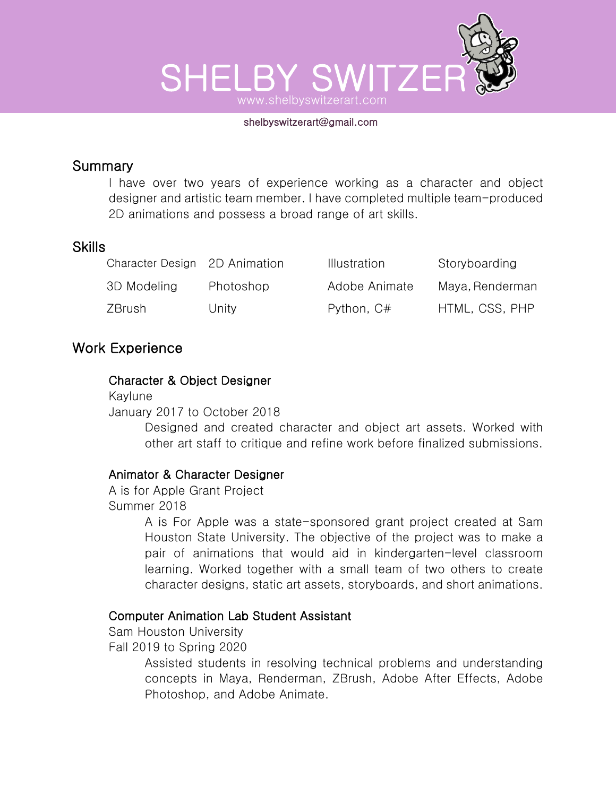

#### shelbyswitzerart@gmail.com

### **Summary**

I have over two years of experience working as a character and object designer and artistic team member. I have completed multiple team-produced 2D animations and possess a broad range of art skills.

#### Skills

| Character Design 2D Animation |           | <b>Illustration</b> | Storyboarding   |
|-------------------------------|-----------|---------------------|-----------------|
| 3D Modeling                   | Photoshop | Adobe Animate       | Maya, Renderman |
| ZBrush                        | Unity     | Python, C#          | HTML, CSS, PHP  |

## Work Experience

#### Character & Object Designer

Kaylune January 2017 to October 2018

> Designed and created character and object art assets. Worked with other art staff to critique and refine work before finalized submissions.

#### Animator & Character Designer

A is for Apple Grant Project Summer 2018

> A is For Apple was a state-sponsored grant project created at Sam Houston State University. The objective of the project was to make a pair of animations that would aid in kindergarten-level classroom learning. Worked together with a small team of two others to create character designs, static art assets, storyboards, and short animations.

#### Computer Animation Lab Student Assistant

Sam Houston University Fall 2019 to Spring 2020

> Assisted students in resolving technical problems and understanding concepts in Maya, Renderman, ZBrush, Adobe After Effects, Adobe Photoshop, and Adobe Animate.